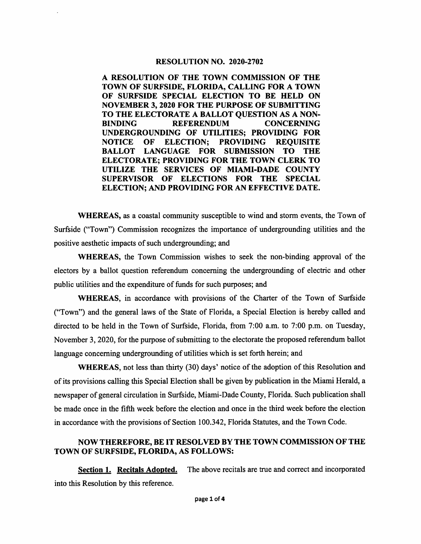#### RESOLUTION NO. 2020-2702

A RESOLUTION OF THE TOWN COMMISSION OF THE TOWN OF SURFSIDE, FLORIDA, CALLING FOR A TOWN OF SURFSIDE SPECIAL ELECTION TO BE HELD ON NOVEMBER 3, 2020 FOR THE PURPOSE OF SUBMITTING TO THE ELECTORATE A BALLOT QUESTION AS A NON-<br>BINDING REFERENDUM CONCERNING **REFERENDUM** UNDERGROUNDING OF UTILITIES; PROVIDING FOR NOTICE OF ELECTION; PROVIDING REQUISITE BALLOT LANGUAGE FOR SUBMISSION TO THE ELECTORATE; PROVIDING FOR THE TOWN CLERK TO UTILIZE THE SERVICES OF MIAMI-DADE COUNTY SUPERVISOR OF ELECTIONS FOR THE SPECIAL ELECTION; AND PROVIDING FOR AN EFFECTIVE DATE.

WHEREAS, as a coastal community susceptible to wind and storm events, the Town of Surfside ("Town") Commission recognizes the importance of undergrounding utilities and the positive aesthetic impacts of such undergrounding; and

WHEREAS, the Town Commission wishes to seek the non-binding approval of the electors by a ballot question referendum concerning the undergrounding of electric and other public utilities and the expenditure of funds for such purposes; and

WHEREAS, in accordance with provisions of the Charter of the Town of Surfside ("Town") and the general laws of the State of Florida, a Special Election is hereby called and directed to be held in the Town of Surfside, Florida, from 7:00 a.m. to 7:00 p.m. on Tuesday, November 3,2020, for the purpose of submitting to the electorate the proposed referendum ballot language conceming undergrounding of utilities which is set forth herein; and

WHEREAS, not less than thirty (30) days' notice of the adoption of this Resolution and of its provisions calling this Special Election shall be given by publication in the Miami Herald, a newspaper of general circulation in Surfside, Miami-Dade County, Florida. Such publication shall be made once in the fifth week before the election and once in the third week before the election in accordance with the provisions of Section 100.342, Florida Statutes, and the Town Code.

## NOW THEREFORE, BE IT RESOLVED BY THE TOWN COMMISSION OF THE TOWN OF SURFSIDE, FLORIDA, AS FOLLOWS:

Section 1. Recitals Adopted. The above recitals are true and correct and incorporated into this Resolution by this reference.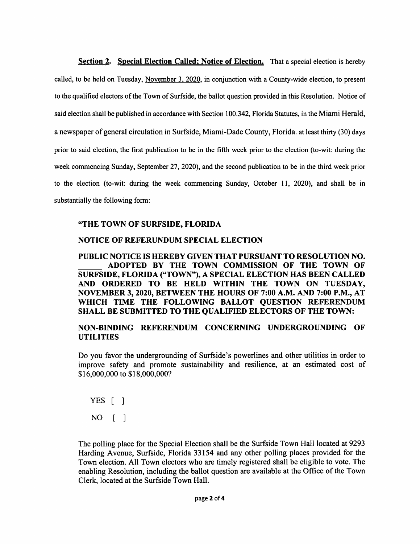**Section 2.** Special Election Called: Notice of Election. That a special election is hereby called, to be held on Tuesday, November 3. 2020. in conjunction with a County-wide election, to present to the qualified electors of the Town of Surfside, the ballot question provided in this Resolution. Notice of said election shall be published in accordance with Section 100.342, Florida Statutes, in the Miami Herald, a newspaper of general circulation in Surfside, Miami-Dade County, Florida, at least thirty (30) days prior to said election, the first publication to be in the fifth week prior to the election (to-wit: during the week commencing Sunday, September 27, 2020), and the second publication to be in the third week prior to the election (to-wit: during the week commencing Sunday, October 11, 2020), and shall be in substantially the following form:

### "THE TOWN OF SURFSIDE, FLORIDA

### NOTICE OF REFERUNDUM SPECIAL ELECTION

PUBLIC NOTICE IS HEREBY GIVEN THAT PURSUANT TO RESOLUTION NO. ADOPTED BY THE TOWN COMMISSION OF THE TOWN OF SURFSIDE, FLORIDA ("TOWN"), A SPECIAL ELECTION HAS BEEN CALLED AND ORDERED TO BE HELD WITHIN THE TOWN ON TUESDAY, NOVEMBER 3, 2020, BETWEEN THE HOURS OF 7:00 A.M. AND 7:00 P.M., AT WHICH TIME THE FOLLOWING BALLOT QUESTION REFERENDUM SHALL BE SUBMITTED TO THE QUALIFIED ELECTORS OF THE TOWN:

### NON-BINDING REFERENDUM CONCERNING UNDERGROUNDING OF UTILITIES

Do you favor the undergrounding of Surfside's powerlines and other utilities in order to improve safety and promote sustainability and resilience, at an estimated cost of \$16,000,000 to \$18,000,000?

YES [ ] NO [ ]

The polling place for the Special Election shall be the Surfside Town Hall located at 9293 Harding Avenue, Surfside, Florida 33154 and any other polling places provided for the Town election. All Town electors who are timely registered shall be eligible to vote. The enabling Resolution, including the ballot question are available at the Office of the Town Clerk, located at the Surfside Town Hall.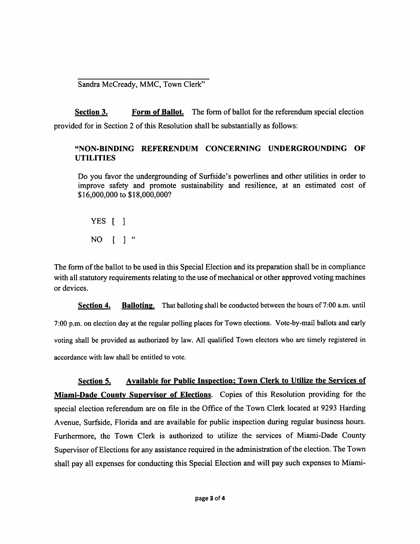Sandra McCready, MMC, Town Clerk"

Section 3. Form of Ballot. The form of ballot for the referendum special election provided for in Section 2 of this Resolution shall be substantially as follows:

## "NON-BINDING REFERENDUM CONCERNING UNDERGROUNDING OF UTILITIES

Do you favor the undergrounding of Surfside's powerlines and other utilities in order to improve safety and promote sustainability and resilience, at an estimated cost of \$16,000,000 to \$18,000,000?

YES [ ] NO [ ] "

The form of the ballot to be used in this Special Election and its preparation shall be in compliance with all statutory requirements relating to the use of mechanical or other approved voting machines or devices.

Section 4. Balloting. That balloting shall be conducted between the hours of 7:00 a.m. until 7:00 p.m. on election day at the regular polling places for Town elections. Vote-by-mail ballots and early voting shall be provided as authorized by law. All qualified Town electors who are timely registered in accordance with law shall be entitled to vote.

Section 5. Available for Public Inspection; Town Clerk to Utilize the Services of Miami-Dade County Supervisor of Elections. Copies of this Resolution providing for the special election referendum are on file in the Office of the Town Clerk located at 9293 Harding Avenue, Surfside, Florida and are available for public inspection during regular business hours. Furthermore, the Town Clerk is authorized to utilize the services of Miami-Dade County Supervisor of Elections for any assistance required in the administration of the election. The Town shall pay all expenses for conducting this Special Election and will pay such expenses to Miami